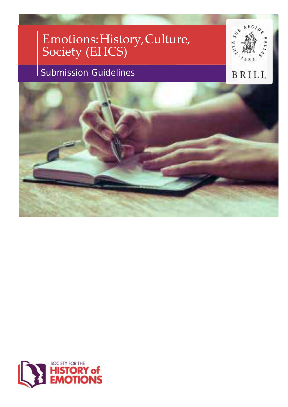# Emotions:History,Culture, Society (EHCS)

## Submission Guidelines



### BRILL